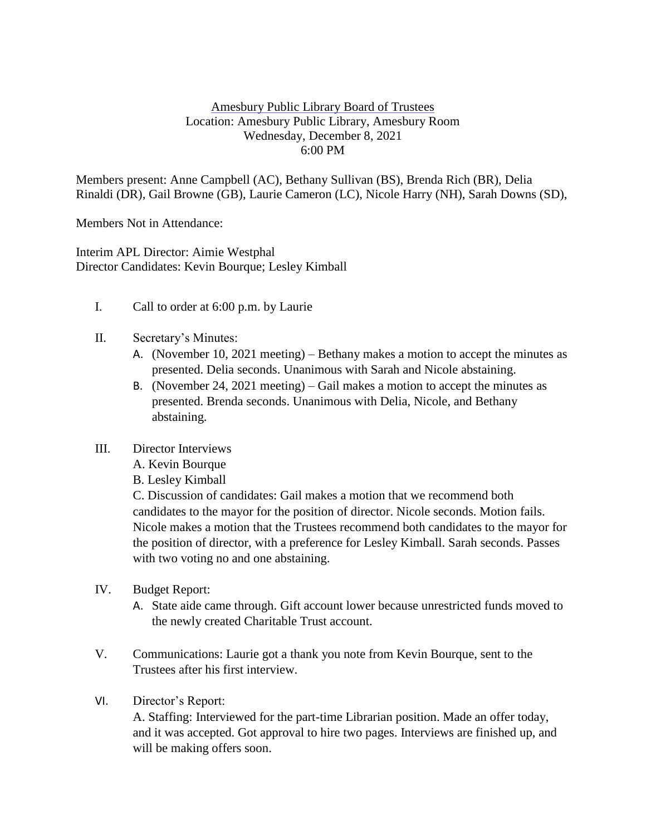## Amesbury Public Library Board of Trustees Location: Amesbury Public Library, Amesbury Room Wednesday, December 8, 2021 6:00 PM

Members present: Anne Campbell (AC), Bethany Sullivan (BS), Brenda Rich (BR), Delia Rinaldi (DR), Gail Browne (GB), Laurie Cameron (LC), Nicole Harry (NH), Sarah Downs (SD),

Members Not in Attendance:

Interim APL Director: Aimie Westphal Director Candidates: Kevin Bourque; Lesley Kimball

- I. Call to order at 6:00 p.m. by Laurie
- II. Secretary's Minutes:
	- A. (November 10, 2021 meeting) Bethany makes a motion to accept the minutes as presented. Delia seconds. Unanimous with Sarah and Nicole abstaining.
	- B. (November 24, 2021 meeting) Gail makes a motion to accept the minutes as presented. Brenda seconds. Unanimous with Delia, Nicole, and Bethany abstaining.
- III. Director Interviews
	- A. Kevin Bourque
	- B. Lesley Kimball

C. Discussion of candidates: Gail makes a motion that we recommend both candidates to the mayor for the position of director. Nicole seconds. Motion fails. Nicole makes a motion that the Trustees recommend both candidates to the mayor for the position of director, with a preference for Lesley Kimball. Sarah seconds. Passes with two voting no and one abstaining.

- IV. Budget Report:
	- A. State aide came through. Gift account lower because unrestricted funds moved to the newly created Charitable Trust account.
- V. Communications: Laurie got a thank you note from Kevin Bourque, sent to the Trustees after his first interview.
- VI. Director's Report:

A. Staffing: Interviewed for the part-time Librarian position. Made an offer today, and it was accepted. Got approval to hire two pages. Interviews are finished up, and will be making offers soon.